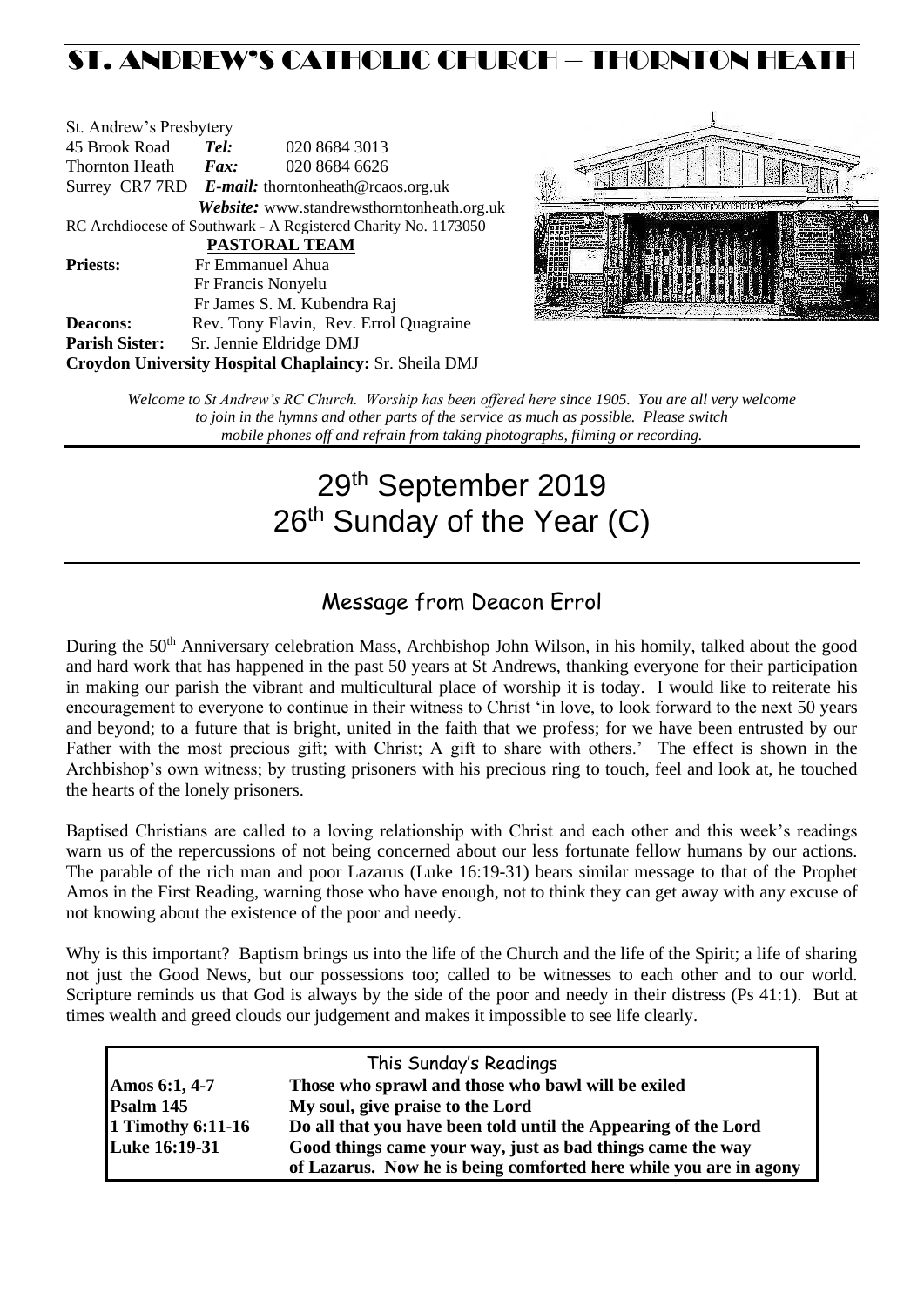# ST. ANDREW'S CATHOLIC CHURCH – THORNTON HEAT

| St. Andrew's Presbytery                                        |                                                   |                                                        |  |  |  |  |
|----------------------------------------------------------------|---------------------------------------------------|--------------------------------------------------------|--|--|--|--|
| 45 Brook Road                                                  | Tel:                                              | 020 8684 3013                                          |  |  |  |  |
| Thornton Heath                                                 | Fax:                                              | 020 8684 6626                                          |  |  |  |  |
|                                                                | Surrey CR7 7RD E-mail: thorntonheath@rcaos.org.uk |                                                        |  |  |  |  |
|                                                                |                                                   | Website: www.standrewsthorntonheath.org.uk             |  |  |  |  |
| RC Archdiocese of Southwark - A Registered Charity No. 1173050 |                                                   |                                                        |  |  |  |  |
| <b>PASTORAL TEAM</b>                                           |                                                   |                                                        |  |  |  |  |
| <b>Priests:</b>                                                |                                                   | Fr Emmanuel Ahua                                       |  |  |  |  |
|                                                                |                                                   | Fr Francis Nonyelu                                     |  |  |  |  |
|                                                                |                                                   | Fr James S. M. Kubendra Raj                            |  |  |  |  |
| <b>Deacons:</b>                                                |                                                   | Rev. Tony Flavin, Rev. Errol Quagraine                 |  |  |  |  |
| <b>Parish Sister:</b>                                          |                                                   | Sr. Jennie Eldridge DMJ                                |  |  |  |  |
|                                                                |                                                   | Croydon University Hospital Chaplaincy: Sr. Sheila DMJ |  |  |  |  |



*Welcome to St Andrew's RC Church. Worship has been offered here since 1905. You are all very welcome to join in the hymns and other parts of the service as much as possible. Please switch mobile phones off and refrain from taking photographs, filming or recording.*

# 29th September 2019 26<sup>th</sup> Sunday of the Year (C)

# Message from Deacon Errol

During the 50<sup>th</sup> Anniversary celebration Mass, Archbishop John Wilson, in his homily, talked about the good and hard work that has happened in the past 50 years at St Andrews, thanking everyone for their participation in making our parish the vibrant and multicultural place of worship it is today. I would like to reiterate his encouragement to everyone to continue in their witness to Christ 'in love, to look forward to the next 50 years and beyond; to a future that is bright, united in the faith that we profess; for we have been entrusted by our Father with the most precious gift; with Christ; A gift to share with others.' The effect is shown in the Archbishop's own witness; by trusting prisoners with his precious ring to touch, feel and look at, he touched the hearts of the lonely prisoners.

Baptised Christians are called to a loving relationship with Christ and each other and this week's readings warn us of the repercussions of not being concerned about our less fortunate fellow humans by our actions. The parable of the rich man and poor Lazarus (Luke 16:19-31) bears similar message to that of the Prophet Amos in the First Reading, warning those who have enough, not to think they can get away with any excuse of not knowing about the existence of the poor and needy.

Why is this important? Baptism brings us into the life of the Church and the life of the Spirit; a life of sharing not just the Good News, but our possessions too; called to be witnesses to each other and to our world. Scripture reminds us that God is always by the side of the poor and needy in their distress (Ps 41:1). But at times wealth and greed clouds our judgement and makes it impossible to see life clearly.

| This Sunday's Readings |                                                                   |  |  |  |
|------------------------|-------------------------------------------------------------------|--|--|--|
| Amos 6:1, 4-7          | Those who sprawl and those who bawl will be exiled                |  |  |  |
| Psalm 145              | My soul, give praise to the Lord                                  |  |  |  |
| 1 Timothy 6:11-16      | Do all that you have been told until the Appearing of the Lord    |  |  |  |
| Luke 16:19-31          | Good things came your way, just as bad things came the way        |  |  |  |
|                        | of Lazarus. Now he is being comforted here while you are in agony |  |  |  |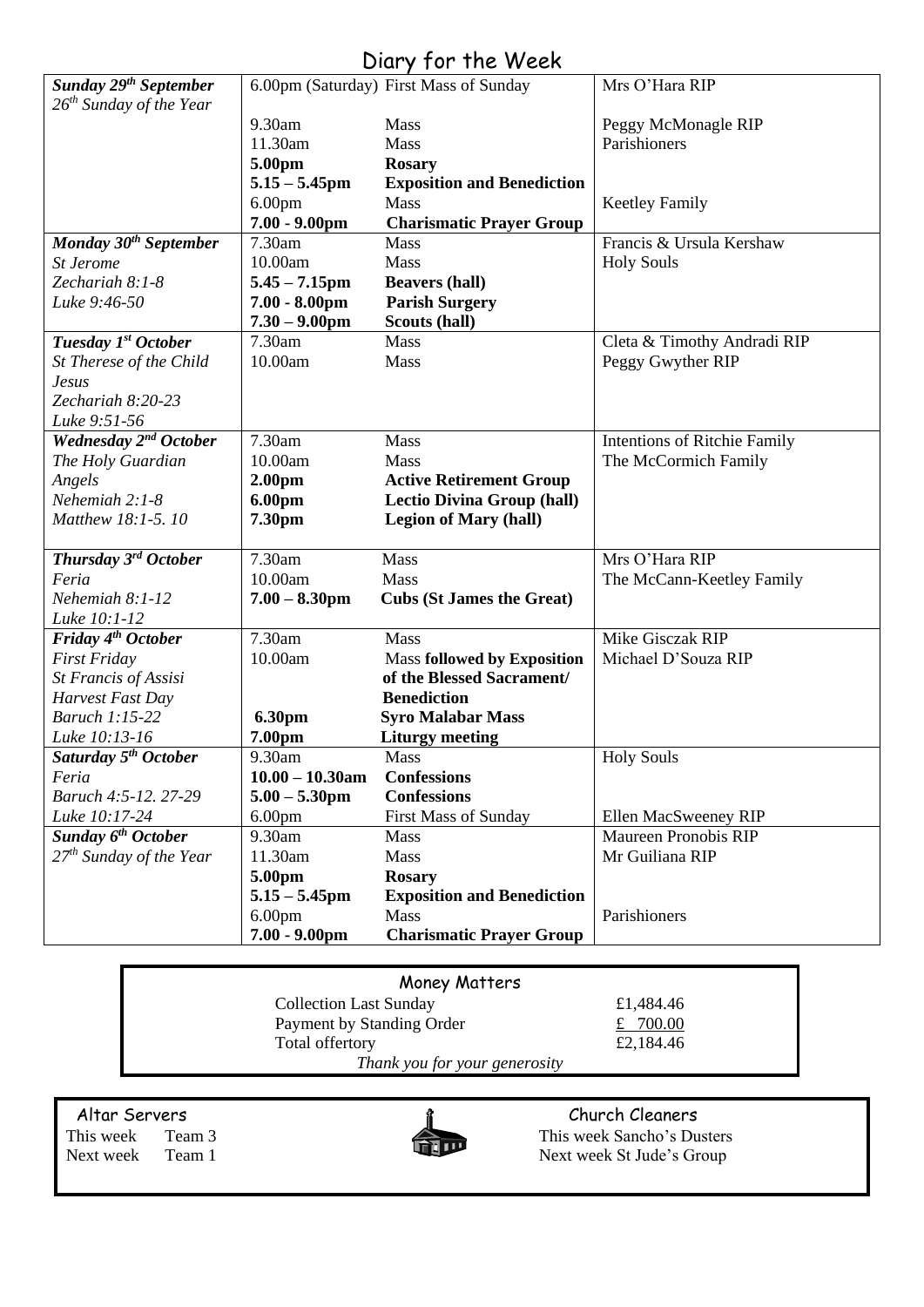# Diary for the Week

| Sunday 29 <sup>th</sup> September |                    | 6.00pm (Saturday) First Mass of Sunday | Mrs O'Hara RIP               |
|-----------------------------------|--------------------|----------------------------------------|------------------------------|
| $26th$ Sunday of the Year         |                    |                                        |                              |
|                                   | 9.30am             | Mass                                   | Peggy McMonagle RIP          |
|                                   | 11.30am            | Mass                                   | Parishioners                 |
|                                   | 5.00pm             | <b>Rosary</b>                          |                              |
|                                   | $5.15 - 5.45$ pm   | <b>Exposition and Benediction</b>      |                              |
|                                   | 6.00 <sub>pm</sub> | Mass                                   | <b>Keetley Family</b>        |
|                                   | $7.00 - 9.00$ pm   | <b>Charismatic Prayer Group</b>        |                              |
| Monday 30 <sup>th</sup> September | 7.30am             | Mass                                   | Francis & Ursula Kershaw     |
| St Jerome                         | 10.00am            | Mass                                   | <b>Holy Souls</b>            |
| Zechariah 8:1-8                   | $5.45 - 7.15$ pm   | <b>Beavers (hall)</b>                  |                              |
| Luke 9:46-50                      | $7.00 - 8.00$ pm   | <b>Parish Surgery</b>                  |                              |
|                                   | $7.30 - 9.00$ pm   | Scouts (hall)                          |                              |
| Tuesday 1st October               | 7.30am             | <b>Mass</b>                            | Cleta & Timothy Andradi RIP  |
| St Therese of the Child           | 10.00am            | Mass                                   | Peggy Gwyther RIP            |
| Jesus                             |                    |                                        |                              |
| Zechariah 8:20-23                 |                    |                                        |                              |
| Luke 9:51-56                      |                    |                                        |                              |
| Wednesday 2 <sup>nd</sup> October | 7.30am             | Mass                                   | Intentions of Ritchie Family |
| The Holy Guardian                 | 10.00am            | Mass                                   | The McCormich Family         |
| Angels<br>Nehemiah 2:1-8          | 2.00 <sub>pm</sub> | <b>Active Retirement Group</b>         |                              |
|                                   | 6.00pm             | <b>Lectio Divina Group (hall)</b>      |                              |
| Matthew 18:1-5.10                 | 7.30pm             | <b>Legion of Mary (hall)</b>           |                              |
| Thursday 3rd October              | 7.30am             | Mass                                   | Mrs O'Hara RIP               |
| Feria                             | 10.00am            | Mass                                   | The McCann-Keetley Family    |
| Nehemiah 8:1-12                   | $7.00 - 8.30$ pm   | <b>Cubs (St James the Great)</b>       |                              |
| Luke 10:1-12                      |                    |                                        |                              |
| Friday 4 <sup>th</sup> October    | 7.30am             | Mass                                   | Mike Gisczak RIP             |
| <b>First Friday</b>               | 10.00am            | <b>Mass followed by Exposition</b>     | Michael D'Souza RIP          |
| St Francis of Assisi              |                    | of the Blessed Sacrament/              |                              |
| Harvest Fast Day                  |                    | <b>Benediction</b>                     |                              |
| <b>Baruch 1:15-22</b>             | 6.30pm             | <b>Syro Malabar Mass</b>               |                              |
| Luke 10:13-16                     | 7.00pm             | <b>Liturgy meeting</b>                 |                              |
| Saturday 5 <sup>th</sup> October  | 9.30am             | Mass                                   | <b>Holy Souls</b>            |
| Feria                             | $10.00 - 10.30$ am | <b>Confessions</b>                     |                              |
| Baruch 4:5-12, 27-29              | $5.00 - 5.30$ pm   | <b>Confessions</b>                     |                              |
| Luke 10:17-24                     | 6.00 <sub>pm</sub> | <b>First Mass of Sunday</b>            | Ellen MacSweeney RIP         |
| Sunday 6 <sup>th</sup> October    | 9.30am             | Mass                                   | <b>Maureen Pronobis RIP</b>  |
| $27th$ Sunday of the Year         | 11.30am            | Mass                                   | Mr Guiliana RIP              |
|                                   | 5.00pm             | <b>Rosary</b>                          |                              |
|                                   | $5.15 - 5.45$ pm   | <b>Exposition and Benediction</b>      |                              |
|                                   | 6.00 <sub>pm</sub> | Mass                                   | Parishioners                 |
|                                   | $7.00 - 9.00$ pm   | <b>Charismatic Prayer Group</b>        |                              |

| Money Matters                 |           |
|-------------------------------|-----------|
| <b>Collection Last Sunday</b> | £1.484.46 |
| Payment by Standing Order     | £ 700.00  |
| Total offertory               | £2,184.46 |
| Thank you for your generosity |           |



Altar Servers and the church Cleaners and the church Cleaners church Cleaners This week Team 3 This week Sancho's Dusters Next week Team 1 Next week St Jude's Group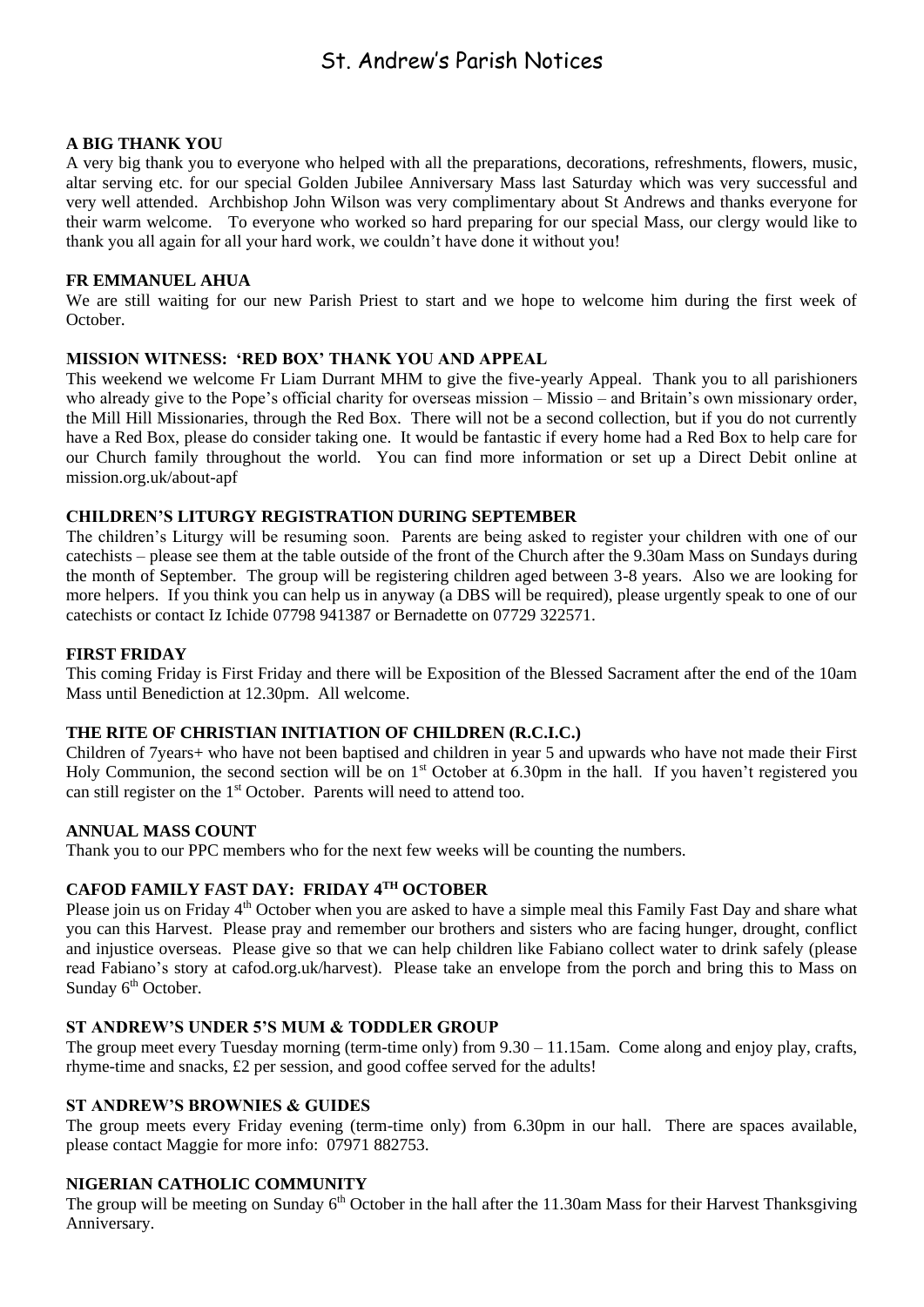# St. Andrew's Parish Notices

# **A BIG THANK YOU**

A very big thank you to everyone who helped with all the preparations, decorations, refreshments, flowers, music, altar serving etc. for our special Golden Jubilee Anniversary Mass last Saturday which was very successful and very well attended. Archbishop John Wilson was very complimentary about St Andrews and thanks everyone for their warm welcome. To everyone who worked so hard preparing for our special Mass, our clergy would like to thank you all again for all your hard work, we couldn't have done it without you!

### **FR EMMANUEL AHUA**

We are still waiting for our new Parish Priest to start and we hope to welcome him during the first week of October.

### **MISSION WITNESS: 'RED BOX' THANK YOU AND APPEAL**

This weekend we welcome Fr Liam Durrant MHM to give the five-yearly Appeal. Thank you to all parishioners who already give to the Pope's official charity for overseas mission – Missio – and Britain's own missionary order, the Mill Hill Missionaries, through the Red Box. There will not be a second collection, but if you do not currently have a Red Box, please do consider taking one. It would be fantastic if every home had a Red Box to help care for our Church family throughout the world. You can find more information or set up a Direct Debit online at mission.org.uk/about-apf

# **CHILDREN'S LITURGY REGISTRATION DURING SEPTEMBER**

The children's Liturgy will be resuming soon. Parents are being asked to register your children with one of our catechists – please see them at the table outside of the front of the Church after the 9.30am Mass on Sundays during the month of September. The group will be registering children aged between 3-8 years. Also we are looking for more helpers. If you think you can help us in anyway (a DBS will be required), please urgently speak to one of our catechists or contact Iz Ichide 07798 941387 or Bernadette on 07729 322571.

### **FIRST FRIDAY**

This coming Friday is First Friday and there will be Exposition of the Blessed Sacrament after the end of the 10am Mass until Benediction at 12.30pm. All welcome.

# **THE RITE OF CHRISTIAN INITIATION OF CHILDREN (R.C.I.C.)**

Children of 7years+ who have not been baptised and children in year 5 and upwards who have not made their First Holy Communion, the second section will be on 1<sup>st</sup> October at 6.30pm in the hall. If you haven't registered you can still register on the 1<sup>st</sup> October. Parents will need to attend too.

#### **ANNUAL MASS COUNT**

Thank you to our PPC members who for the next few weeks will be counting the numbers.

# **CAFOD FAMILY FAST DAY: FRIDAY 4TH OCTOBER**

Please join us on Friday 4<sup>th</sup> October when you are asked to have a simple meal this Family Fast Day and share what you can this Harvest. Please pray and remember our brothers and sisters who are facing hunger, drought, conflict and injustice overseas. Please give so that we can help children like Fabiano collect water to drink safely (please read Fabiano's story at cafod.org.uk/harvest). Please take an envelope from the porch and bring this to Mass on Sunday 6<sup>th</sup> October.

# **ST ANDREW'S UNDER 5'S MUM & TODDLER GROUP**

The group meet every Tuesday morning (term-time only) from 9.30 – 11.15am. Come along and enjoy play, crafts, rhyme-time and snacks, £2 per session, and good coffee served for the adults!

# **ST ANDREW'S BROWNIES & GUIDES**

The group meets every Friday evening (term-time only) from 6.30pm in our hall. There are spaces available, please contact Maggie for more info: 07971 882753.

# **NIGERIAN CATHOLIC COMMUNITY**

The group will be meeting on Sunday  $6<sup>th</sup>$  October in the hall after the 11.30am Mass for their Harvest Thanksgiving Anniversary.